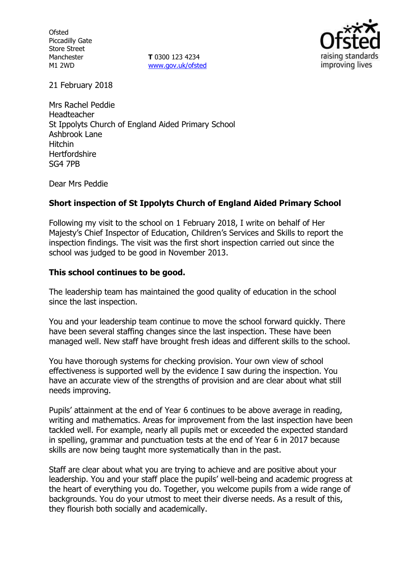**Ofsted** Piccadilly Gate Store Street Manchester M1 2WD

**T** 0300 123 4234 www.gov.uk/ofsted



21 February 2018

Mrs Rachel Peddie Headteacher St Ippolyts Church of England Aided Primary School Ashbrook Lane Hitchin **Hertfordshire** SG4 7PB

Dear Mrs Peddie

# **Short inspection of St Ippolyts Church of England Aided Primary School**

Following my visit to the school on 1 February 2018, I write on behalf of Her Majesty's Chief Inspector of Education, Children's Services and Skills to report the inspection findings. The visit was the first short inspection carried out since the school was judged to be good in November 2013.

# **This school continues to be good.**

The leadership team has maintained the good quality of education in the school since the last inspection.

You and your leadership team continue to move the school forward quickly. There have been several staffing changes since the last inspection. These have been managed well. New staff have brought fresh ideas and different skills to the school.

You have thorough systems for checking provision. Your own view of school effectiveness is supported well by the evidence I saw during the inspection. You have an accurate view of the strengths of provision and are clear about what still needs improving.

Pupils' attainment at the end of Year 6 continues to be above average in reading, writing and mathematics. Areas for improvement from the last inspection have been tackled well. For example, nearly all pupils met or exceeded the expected standard in spelling, grammar and punctuation tests at the end of Year 6 in 2017 because skills are now being taught more systematically than in the past.

Staff are clear about what you are trying to achieve and are positive about your leadership. You and your staff place the pupils' well-being and academic progress at the heart of everything you do. Together, you welcome pupils from a wide range of backgrounds. You do your utmost to meet their diverse needs. As a result of this, they flourish both socially and academically.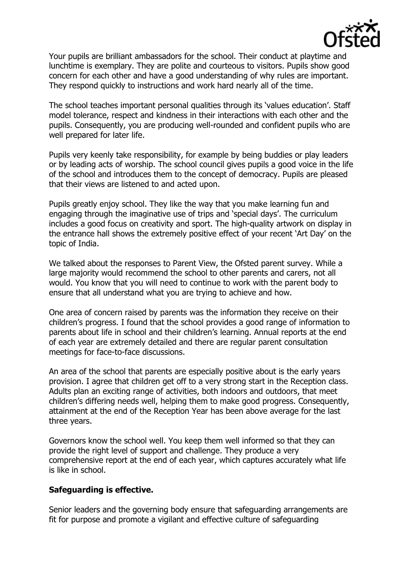

Your pupils are brilliant ambassadors for the school. Their conduct at playtime and lunchtime is exemplary. They are polite and courteous to visitors. Pupils show good concern for each other and have a good understanding of why rules are important. They respond quickly to instructions and work hard nearly all of the time.

The school teaches important personal qualities through its 'values education'. Staff model tolerance, respect and kindness in their interactions with each other and the pupils. Consequently, you are producing well-rounded and confident pupils who are well prepared for later life.

Pupils very keenly take responsibility, for example by being buddies or play leaders or by leading acts of worship. The school council gives pupils a good voice in the life of the school and introduces them to the concept of democracy. Pupils are pleased that their views are listened to and acted upon.

Pupils greatly enjoy school. They like the way that you make learning fun and engaging through the imaginative use of trips and 'special days'. The curriculum includes a good focus on creativity and sport. The high-quality artwork on display in the entrance hall shows the extremely positive effect of your recent 'Art Day' on the topic of India.

We talked about the responses to Parent View, the Ofsted parent survey. While a large majority would recommend the school to other parents and carers, not all would. You know that you will need to continue to work with the parent body to ensure that all understand what you are trying to achieve and how.

One area of concern raised by parents was the information they receive on their children's progress. I found that the school provides a good range of information to parents about life in school and their children's learning. Annual reports at the end of each year are extremely detailed and there are regular parent consultation meetings for face-to-face discussions.

An area of the school that parents are especially positive about is the early years provision. I agree that children get off to a very strong start in the Reception class. Adults plan an exciting range of activities, both indoors and outdoors, that meet children's differing needs well, helping them to make good progress. Consequently, attainment at the end of the Reception Year has been above average for the last three years.

Governors know the school well. You keep them well informed so that they can provide the right level of support and challenge. They produce a very comprehensive report at the end of each year, which captures accurately what life is like in school.

# **Safeguarding is effective.**

Senior leaders and the governing body ensure that safeguarding arrangements are fit for purpose and promote a vigilant and effective culture of safeguarding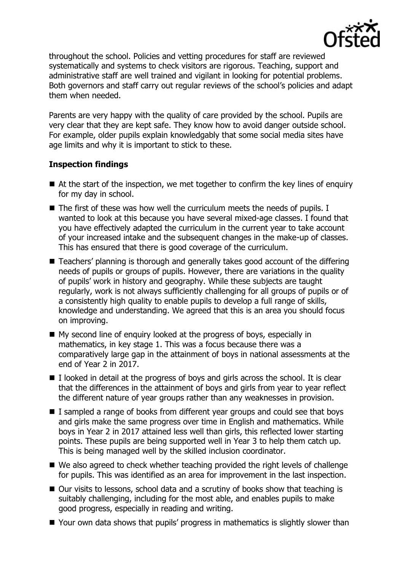

throughout the school. Policies and vetting procedures for staff are reviewed systematically and systems to check visitors are rigorous. Teaching, support and administrative staff are well trained and vigilant in looking for potential problems. Both governors and staff carry out regular reviews of the school's policies and adapt them when needed.

Parents are very happy with the quality of care provided by the school. Pupils are very clear that they are kept safe. They know how to avoid danger outside school. For example, older pupils explain knowledgably that some social media sites have age limits and why it is important to stick to these.

# **Inspection findings**

- At the start of the inspection, we met together to confirm the key lines of enguiry for my day in school.
- The first of these was how well the curriculum meets the needs of pupils. I wanted to look at this because you have several mixed-age classes. I found that you have effectively adapted the curriculum in the current year to take account of your increased intake and the subsequent changes in the make-up of classes. This has ensured that there is good coverage of the curriculum.
- Teachers' planning is thorough and generally takes good account of the differing needs of pupils or groups of pupils. However, there are variations in the quality of pupils' work in history and geography. While these subjects are taught regularly, work is not always sufficiently challenging for all groups of pupils or of a consistently high quality to enable pupils to develop a full range of skills, knowledge and understanding. We agreed that this is an area you should focus on improving.
- My second line of enquiry looked at the progress of boys, especially in mathematics, in key stage 1. This was a focus because there was a comparatively large gap in the attainment of boys in national assessments at the end of Year 2 in 2017.
- $\blacksquare$  I looked in detail at the progress of boys and girls across the school. It is clear that the differences in the attainment of boys and girls from year to year reflect the different nature of year groups rather than any weaknesses in provision.
- I sampled a range of books from different year groups and could see that boys and girls make the same progress over time in English and mathematics. While boys in Year 2 in 2017 attained less well than girls, this reflected lower starting points. These pupils are being supported well in Year 3 to help them catch up. This is being managed well by the skilled inclusion coordinator.
- We also agreed to check whether teaching provided the right levels of challenge for pupils. This was identified as an area for improvement in the last inspection.
- Our visits to lessons, school data and a scrutiny of books show that teaching is suitably challenging, including for the most able, and enables pupils to make good progress, especially in reading and writing.
- Your own data shows that pupils' progress in mathematics is slightly slower than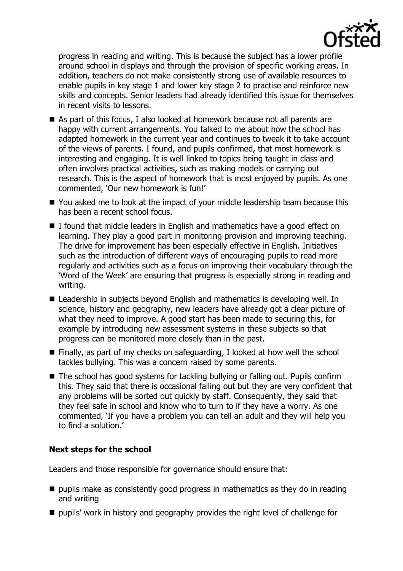

progress in reading and writing. This is because the subject has a lower profile around school in displays and through the provision of specific working areas. In addition, teachers do not make consistently strong use of available resources to enable pupils in key stage 1 and lower key stage 2 to practise and reinforce new skills and concepts. Senior leaders had already identified this issue for themselves in recent visits to lessons.

- As part of this focus, I also looked at homework because not all parents are happy with current arrangements. You talked to me about how the school has adapted homework in the current year and continues to tweak it to take account of the views of parents. I found, and pupils confirmed, that most homework is interesting and engaging. It is well linked to topics being taught in class and often involves practical activities, such as making models or carrying out research. This is the aspect of homework that is most enjoyed by pupils. As one commented, 'Our new homework is fun!'
- You asked me to look at the impact of your middle leadership team because this has been a recent school focus.
- I found that middle leaders in English and mathematics have a good effect on learning. They play a good part in monitoring provision and improving teaching. The drive for improvement has been especially effective in English. Initiatives such as the introduction of different ways of encouraging pupils to read more regularly and activities such as a focus on improving their vocabulary through the 'Word of the Week' are ensuring that progress is especially strong in reading and writing.
- Leadership in subjects beyond English and mathematics is developing well. In science, history and geography, new leaders have already got a clear picture of what they need to improve. A good start has been made to securing this, for example by introducing new assessment systems in these subjects so that progress can be monitored more closely than in the past.
- $\blacksquare$  Finally, as part of my checks on safeguarding, I looked at how well the school tackles bullying. This was a concern raised by some parents.
- The school has good systems for tackling bullying or falling out. Pupils confirm this. They said that there is occasional falling out but they are very confident that any problems will be sorted out quickly by staff. Consequently, they said that they feel safe in school and know who to turn to if they have a worry. As one commented, 'If you have a problem you can tell an adult and they will help you to find a solution.'

# **Next steps for the school**

Leaders and those responsible for governance should ensure that:

- $\blacksquare$  pupils make as consistently good progress in mathematics as they do in reading and writing
- $\blacksquare$  pupils' work in history and geography provides the right level of challenge for